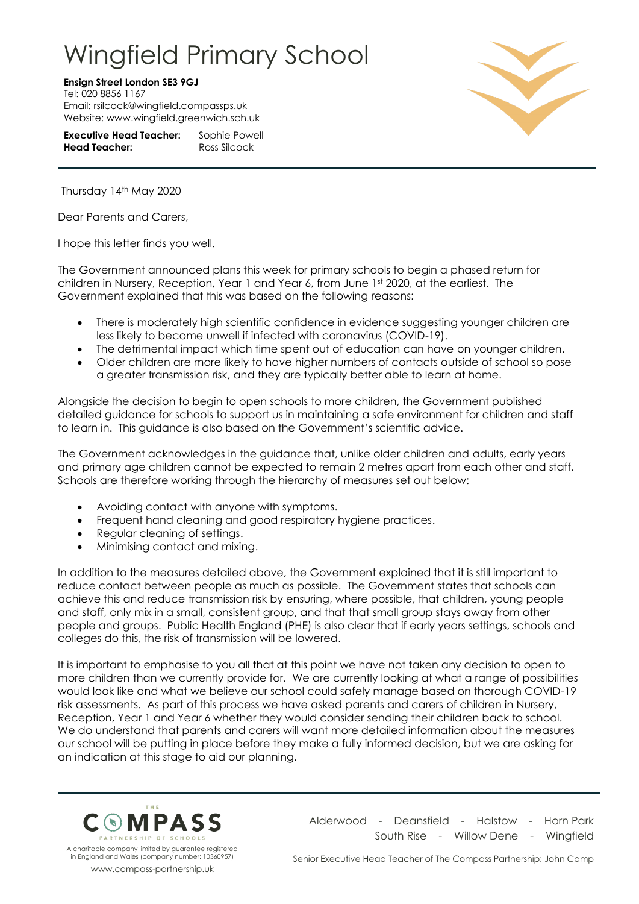## Wingfield Primary School

**Ensign Street London SE3 9GJ**

Tel: 020 8856 1167 Email: rsilcock@wingfield.compassps.uk Website: www.wingfield.greenwich.sch.uk

| <b>Executive Head Teacher:</b> | Sophie Powell |
|--------------------------------|---------------|
| <b>Head Teacher:</b>           | Ross Silcock  |



Thursday 14th May 2020

Dear Parents and Carers,

I hope this letter finds you well.

The Government announced plans this week for primary schools to begin a phased return for children in Nursery, Reception, Year 1 and Year 6, from June 1st 2020, at the earliest. The Government explained that this was based on the following reasons:

- There is moderately high scientific confidence in evidence suggesting younger children are less likely to become unwell if infected with coronavirus (COVID-19).
- The detrimental impact which time spent out of education can have on younger children.
- Older children are more likely to have higher numbers of contacts outside of school so pose a greater transmission risk, and they are typically better able to learn at home.

Alongside the decision to begin to open schools to more children, the Government published detailed guidance for schools to support us in maintaining a safe environment for children and staff to learn in. This guidance is also based on the Government's scientific advice.

The Government acknowledges in the guidance that, unlike older children and adults, early years and primary age children cannot be expected to remain 2 metres apart from each other and staff. Schools are therefore working through the hierarchy of measures set out below:

- Avoiding contact with anyone with symptoms.
- Frequent hand cleaning and good respiratory hygiene practices.
- Regular cleaning of settings.
- Minimising contact and mixing.

In addition to the measures detailed above, the Government explained that it is still important to reduce contact between people as much as possible. The Government states that schools can achieve this and reduce transmission risk by ensuring, where possible, that children, young people and staff, only mix in a small, consistent group, and that that small group stays away from other people and groups. Public Health England (PHE) is also clear that if early years settings, schools and colleges do this, the risk of transmission will be lowered.

It is important to emphasise to you all that at this point we have not taken any decision to open to more children than we currently provide for. We are currently looking at what a range of possibilities would look like and what we believe our school could safely manage based on thorough COVID-19 risk assessments. As part of this process we have asked parents and carers of children in Nursery, Reception, Year 1 and Year 6 whether they would consider sending their children back to school. We do understand that parents and carers will want more detailed information about the measures our school will be putting in place before they make a fully informed decision, but we are asking for an indication at this stage to aid our planning.



charitable company limited by guarantee registered in England and Wales (company number: 10360957) www.compass-partnership.uk

Alderwood - Deansfield - Halstow - Horn Park South Rise - Willow Dene - Wingfield

Senior Executive Head Teacher of The Compass Partnership: John Camp